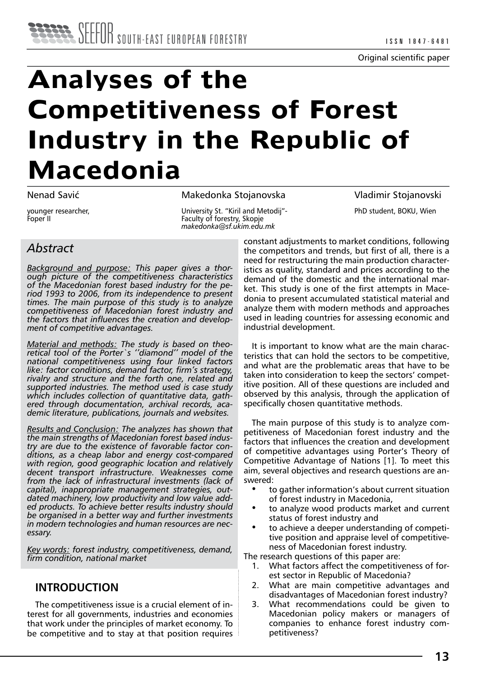# **Analyses of the Competitiveness of Forest Industry in the Republic of Macedonia**

Nenad Savić

younger researcher, Foper II

Makedonka Stojanovska

University St. "Kiril and Metodij"- Faculty of forestry, Skopje *makedonka@sf.ukim.edu.mk* 

Vladimir Stojanovski PhD student, BOKU, Wien

# *Abstract*

*Background and purpose: This paper gives a thorough picture of the competitiveness characteristics of the Macedonian forest based industry for the period 1993 to 2006, from its independence to present times. The main purpose of this study is to analyze competitiveness of Macedonian forest industry and the factors that influences the creation and development of competitive advantages.* 

*Material and methods: The study is based on theoretical tool of the Porter`s ''diamond'' model of the national competitiveness using four linked factors like: factor conditions, demand factor, firm's strategy, rivalry and structure and the forth one, related and supported industries. The method used is case study which includes collection of quantitative data, gathered through documentation, archival records, academic literature, publications, journals and websites.*

*Results and Conclusion: The analyzes has shown that the main strengths of Macedonian forest based industry are due to the existence of favorable factor conditions, as a cheap labor and energy cost-compared with region, good geographic location and relatively decent transport infrastructure. Weaknesses come from the lack of infrastructural investments (lack of capital), inappropriate management strategies, outdated machinery, low productivity and low value added products. To achieve better results industry should be organised in a better way and further investments in modern technologies and human resources are necessary.*

*Key words: forest industry, competitiveness, demand, firm condition, national market*

## **INTRODUCTION**

The competitiveness issue is a crucial element of interest for all governments, industries and economies that work under the principles of market economy. To be competitive and to stay at that position requires

constant adjustments to market conditions, following the competitors and trends, but first of all, there is a need for restructuring the main production characteristics as quality, standard and prices according to the demand of the domestic and the international market. This study is one of the first attempts in Macedonia to present accumulated statistical material and analyze them with modern methods and approaches used in leading countries for assessing economic and industrial development.

It is important to know what are the main characteristics that can hold the sectors to be competitive, and what are the problematic areas that have to be taken into consideration to keep the sectors' competitive position. All of these questions are included and observed by this analysis, through the application of specifically chosen quantitative methods.

The main purpose of this study is to analyze competitiveness of Macedonian forest industry and the factors that influences the creation and development of competitive advantages using Porter's Theory of Competitive Advantage of Nations [1]. To meet this aim, several objectives and research questions are answered:

- to gather information's about current situation of forest industry in Macedonia,
- to analyze wood products market and current status of forest industry and
- to achieve a deeper understanding of competitive position and appraise level of competitiveness of Macedonian forest industry.

The research questions of this paper are:

- 1. What factors affect the competitiveness of forest sector in Republic of Macedonia?
- 2. What are main competitive advantages and disadvantages of Macedonian forest industry?
- 3. What recommendations could be given to Macedonian policy makers or managers of companies to enhance forest industry competitiveness?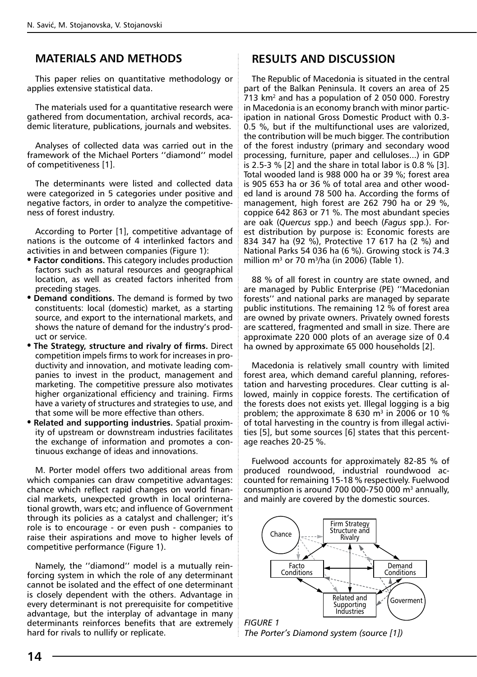# **MATERIALS AND METHODS**

This paper relies on quantitative methodology or applies extensive statistical data.

The materials used for a quantitative research were gathered from documentation, archival records, academic literature, publications, journals and websites.

Analyses of collected data was carried out in the framework of the Michael Porters ''diamond'' model of competitiveness [1].

The determinants were listed and collected data were categorized in 5 categories under positive and negative factors, in order to analyze the competitiveness of forest industry.

According to Porter [1], competitive advantage of nations is the outcome of 4 interlinked factors and activities in and between companies (Figure 1):

- **Factor conditions.** This category includes production factors such as natural resources and geographical location, as well as created factors inherited from preceding stages.
- **Demand conditions.** The demand is formed by two constituents: local (domestic) market, as a starting source, and export to the international markets, and shows the nature of demand for the industry's product or service.
- **The Strategy, structure and rivalry of firms.** Direct competition impels firms to work for increases in productivity and innovation, and motivate leading companies to invest in the product, management and marketing. The competitive pressure also motivates higher organizational efficiency and training. Firms have a variety of structures and strategies to use, and that some will be more effective than others.
- **Related and supporting industries.** Spatial proximity of upstream or downstream industries facilitates the exchange of information and promotes a continuous exchange of ideas and innovations.

M. Porter model offers two additional areas from which companies can draw competitive advantages: chance which reflect rapid changes on world financial markets, unexpected growth in local orinternational growth, wars etc; and influence of Government through its policies as a catalyst and challenger; it's role is to encourage - or even push - companies to raise their aspirations and move to higher levels of competitive performance (Figure 1).

Namely, the ''diamond'' model is a mutually reinforcing system in which the role of any determinant cannot be isolated and the effect of one determinant is closely dependent with the others. Advantage in every determinant is not prerequisite for competitive advantage, but the interplay of advantage in many determinants reinforces benefits that are extremely hard for rivals to nullify or replicate.

# **RESULTS AND DISCUSSION**

The Republic of Macedonia is situated in the central part of the Balkan Peninsula. It covers an area of 25 713 km2 and has a population of 2 050 000. Forestry in Macedonia is an economy branch with minor participation in national Gross Domestic Product with 0.3- 0.5 %, but if the multifunctional uses are valorized, the contribution will be much bigger. The contribution of the forest industry (primary and secondary wood processing, furniture, paper and celluloses...) in GDP is 2.5-3 % [2] and the share in total labor is 0.8 % [3]. Total wooded land is 988 000 ha or 39 %; forest area is 905 653 ha or 36 % of total area and other wooded land is around 78 500 ha. According the forms of management, high forest are 262 790 ha or 29 %, coppice 642 863 or 71 %. The most abundant species are oak (*Quercus* spp.) and beech (*Fagus* spp.). Forest distribution by purpose is: Economic forests are 834 347 ha (92 %), Protective 17 617 ha (2 %) and National Parks 54 036 ha (6 %). Growing stock is 74.3 million  $m^3$  or 70  $m^3/ha$  (in 2006) (Table 1).

88 % of all forest in country are state owned, and are managed by Public Enterprise (PE) ''Macedonian forests'' and national parks are managed by separate public institutions. The remaining 12 % of forest area are owned by private owners. Privately owned forests are scattered, fragmented and small in size. There are approximate 220 000 plots of an average size of 0.4 ha owned by approximate 65 000 households [2].

Macedonia is relatively small country with limited forest area, which demand careful planning, reforestation and harvesting procedures. Clear cutting is allowed, mainly in coppice forests. The certification of the forests does not exists yet. Illegal logging is a big problem; the approximate 8 630  $\text{m}^3$  in 2006 or 10 % of total harvesting in the country is from illegal activities [5], but some sources [6] states that this percentage reaches 20-25 %.

Fuelwood accounts for approximately 82-85 % of produced roundwood, industrial roundwood accounted for remaining 15-18 % respectively. Fuelwood consumption is around 700 000-750 000  $\mathrm{m}^3$  annually, and mainly are covered by the domestic sources.



*The Porter's Diamond system (source [1])*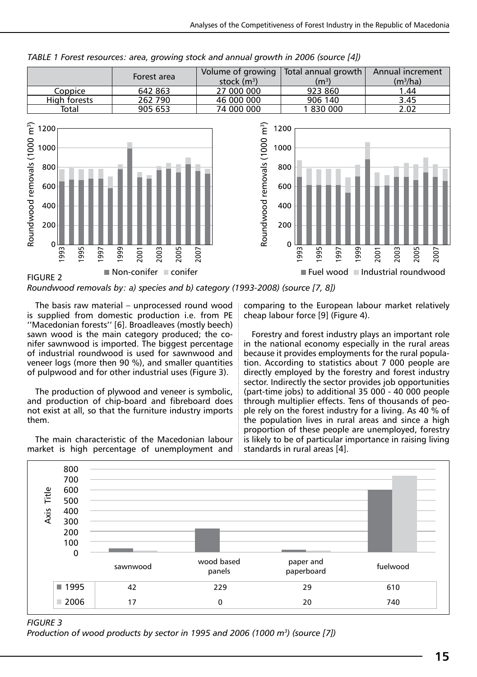

*TABLE 1 Forest resources: area, growing stock and annual growth in 2006 (source [4])*

*Roundwood removals by: a) species and b) category (1993-2008) (source [7, 8])*

The basis raw material – unprocessed round wood is supplied from domestic production i.e. from PE ''Macedonian forests'' [6]. Broadleaves (mostly beech) sawn wood is the main category produced; the conifer sawnwood is imported. The biggest percentage of industrial roundwood is used for sawnwood and veneer logs (more then 90 %), and smaller quantities of pulpwood and for other industrial uses (Figure 3).

The production of plywood and veneer is symbolic, and production of chip-board and fibreboard does not exist at all, so that the furniture industry imports them.

The main characteristic of the Macedonian labour market is high percentage of unemployment and comparing to the European labour market relatively cheap labour force [9] (Figure 4).

Forestry and forest industry plays an important role in the national economy especially in the rural areas because it provides employments for the rural population. According to statistics about 7 000 people are directly employed by the forestry and forest industry sector. Indirectly the sector provides job opportunities (part-time jobs) to additional 35 000 - 40 000 people through multiplier effects. Tens of thousands of people rely on the forest industry for a living. As 40 % of the population lives in rural areas and since a high proportion of these people are unemployed, forestry is likely to be of particular importance in raising living standards in rural areas [4].



*Figure 3*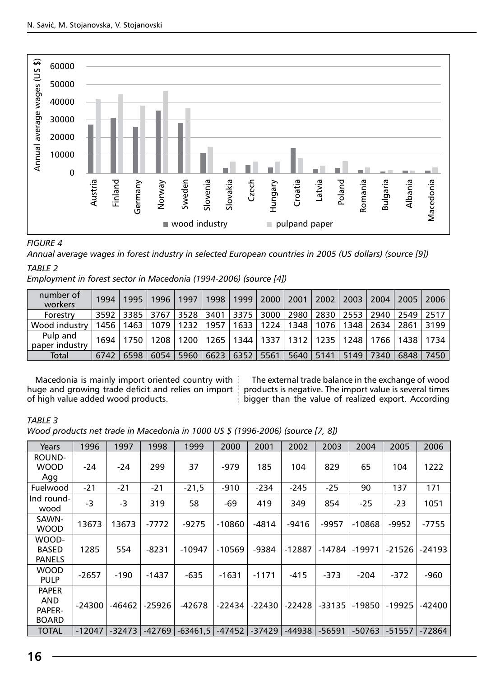

#### *FIGURE 4*

*Annual average wages in forest industry in selected European countries in 2005 (US dollars) (source [9])*

#### *TABLE 2*

*Employment in forest sector in Macedonia (1994-2006) (source [4])*

| number of<br>workers       | 1994 | 1995 | 1996 | 1997   | 1998 | 1999           | 2000        | 2001 | 2002   | 2003 | 2004 | 2005 | 2006 |
|----------------------------|------|------|------|--------|------|----------------|-------------|------|--------|------|------|------|------|
| Forestry                   | 3592 | 3385 | 3767 | 3528 L |      | 3401 3375 3000 |             | 2980 | 2830 l | 2553 | 2940 | 2549 | 2517 |
| Wood industry              | 1456 | 1463 | 1079 | 1232   | 1957 | 1633           | 1224        | 1348 | 1076   | 348  | 2634 | 2861 | 3199 |
| Pulp and<br>paper industry | 1694 | 1750 | 1208 | 1200   | 1265 |                | 1344   1337 | 1312 | 1235   | 1248 | 1766 | 1438 | 1734 |
| Total                      | 6742 | 6598 | 6054 | 5960   | 6623 | 6352           | 5561        | 5640 | 5141   | 5149 | 7340 | 6848 | 7450 |

Macedonia is mainly import oriented country with huge and growing trade deficit and relies on import of high value added wood products.

The external trade balance in the exchange of wood products is negative. The import value is several times bigger than the value of realized export. According

#### *TABLE 3*

*Wood products net trade in Macedonia in 1000 US \$ (1996-2006) (source [7, 8])*

| Years                                         | 1996     | 1997     | 1998     | 1999       | 2000     | 2001     | 2002     | 2003     | 2004     | 2005     | 2006     |
|-----------------------------------------------|----------|----------|----------|------------|----------|----------|----------|----------|----------|----------|----------|
| ROUND-<br><b>WOOD</b><br>Agg                  | $-24$    | $-24$    | 299      | 37         | $-979$   | 185      | 104      | 829      | 65       | 104      | 1222     |
| Fuelwood                                      | $-21$    | $-21$    | $-21$    | $-21,5$    | $-910$   | $-234$   | $-245$   | $-25$    | 90       | 137      | 171      |
| Ind round-<br>wood                            | -3       | -3       | 319      | 58         | -69      | 419      | 349      | 854      | -25      | $-23$    | 1051     |
| SAWN-<br><b>WOOD</b>                          | 13673    | 13673    | -7772    | $-9275$    | $-10860$ | $-4814$  | -9416    | $-9957$  | $-10868$ | -9952    | -7755    |
| WOOD-<br><b>BASED</b><br><b>PANELS</b>        | 1285     | 554      | $-8231$  | $-10947$   | $-10569$ | -9384    | $-12887$ | -14784   | $-19971$ | $-21526$ | $-24193$ |
| <b>WOOD</b><br><b>PULP</b>                    | -2657    | $-190$   | -1437    | -635       | $-1631$  | $-1171$  | -415     | -373     | -204     | -372     | -960     |
| <b>PAPER</b><br>AND<br>PAPER-<br><b>BOARD</b> | -24300   | -46462   | -25926   | -42678     | $-22434$ | $-22430$ | $-22428$ | $-33135$ | $-19850$ | $-19925$ | -42400   |
| <b>TOTAL</b>                                  | $-12047$ | $-32473$ | $-42769$ | $-63461.5$ | $-47452$ | $-37429$ | $-44938$ | $-56591$ | $-50763$ | $-51557$ | -72864   |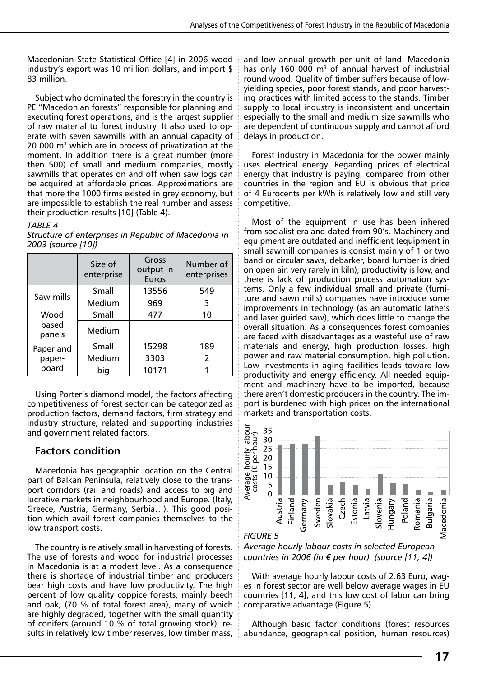Macedonian State Statistical Office [4] in 2006 wood industry's export was 10 million dollars, and import \$ 83 million.

Subject who dominated the forestry in the country is PE "Macedonian forests" responsible for planning and executing forest operations, and is the largest supplier of raw material to forest industry. It also used to operate with seven sawmills with an annual capacity of 20 000 m3 which are in process of privatization at the moment. In addition there is a great number (more then 500) of small and medium companies, mostly sawmills that operates on and off when saw logs can be acquired at affordable prices. Approximations are that more the 1000 firms existed in grey economy, but are impossible to establish the real number and assess their production results [10] (Table 4).

#### *Table 4*

|                 | Size of<br>enterprise | Gross<br>output in<br>Euros | Number of<br>enterprises |  |  |  |
|-----------------|-----------------------|-----------------------------|--------------------------|--|--|--|
| Saw mills       | Small                 | 13556                       | 549                      |  |  |  |
|                 | Medium                | 969                         | 3                        |  |  |  |
| Wood            | Small                 | 477                         | 10                       |  |  |  |
| based<br>panels | Medium                |                             |                          |  |  |  |
| Paper and       | Small                 | 15298                       | 189                      |  |  |  |
| paper-          | Medium                | 3303                        | 2                        |  |  |  |
| board           | big                   | 10171                       |                          |  |  |  |

*Structure of enterprises in Republic of Macedonia in 2003 (source [10])*

Using Porter's diamond model, the factors affecting competitiveness of forest sector can be categorized as production factors, demand factors, firm strategy and industry structure, related and supporting industries and government related factors.

#### **Factors condition**

Macedonia has geographic location on the Central part of Balkan Peninsula, relatively close to the transport corridors (rail and roads) and access to big and lucrative markets in neighbourhood and Europe. (Italy, Greece, Austria, Germany, Serbia…). This good position which avail forest companies themselves to the low transport costs.

The country is relatively small in harvesting of forests. The use of forests and wood for industrial processes in Macedonia is at a modest level. As a consequence there is shortage of industrial timber and producers bear high costs and have low productivity. The high percent of low quality coppice forests, mainly beech and oak, (70 % of total forest area), many of which are highly degraded, together with the small quantity of conifers (around 10 % of total growing stock), results in relatively low timber reserves, low timber mass, and low annual growth per unit of land. Macedonia has only 160 000  $m<sup>3</sup>$  of annual harvest of industrial round wood. Quality of timber suffers because of lowyielding species, poor forest stands, and poor harvesting practices with limited access to the stands. Timber supply to local industry is inconsistent and uncertain especially to the small and medium size sawmills who are dependent of continuous supply and cannot afford delays in production.

Forest industry in Macedonia for the power mainly uses electrical energy. Regarding prices of electrical energy that industry is paying, compared from other countries in the region and EU is obvious that price of 4 Eurocents per kWh is relatively low and still very competitive.

Most of the equipment in use has been inhered from socialist era and dated from 90's. Machinery and equipment are outdated and inefficient (equipment in small sawmill companies is consist mainly of 1 or two band or circular saws, debarker, board lumber is dried on open air, very rarely in kiln), productivity is low, and there is lack of production process automation systems. Only a few individual small and private (furniture and sawn mills) companies have introduce some improvements in technology (as an automatic lathe's and laser guided saw), which does little to change the overall situation. As a consequences forest companies are faced with disadvantages as a wasteful use of raw materials and energy, high production losses, high power and raw material consumption, high pollution. Low investments in aging facilities leads toward low productivity and energy efficiency. All needed equipment and machinery have to be imported, because there aren't domestic producers in the country. The import is burdened with high prices on the international markets and transportation costs.



*Average hourly labour costs in selected European* 

With average hourly labour costs of 2.63 Euro, wages in forest sector are well below average wages in EU countries [11, 4], and this low cost of labor can bring comparative advantage (Figure 5).

Although basic factor conditions (forest resources abundance, geographical position, human resources)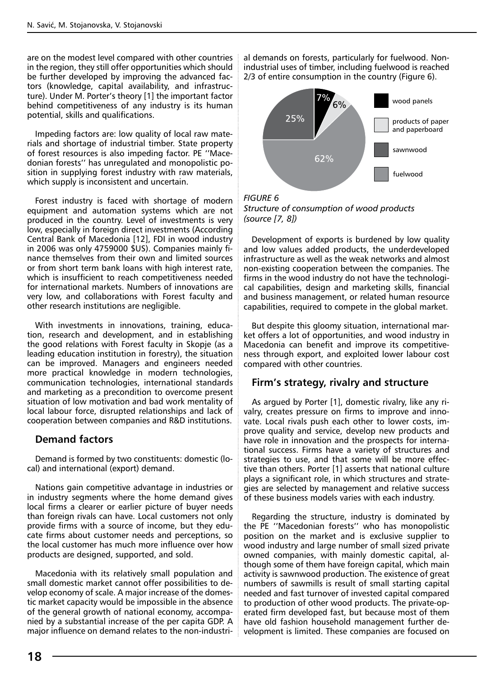are on the modest level compared with other countries in the region, they still offer opportunities which should be further developed by improving the advanced factors (knowledge, capital availability, and infrastructure). Under M. Porter's theory [1] the important factor behind competitiveness of any industry is its human potential, skills and qualifications.

Impeding factors are: low quality of local raw materials and shortage of industrial timber. State property of forest resources is also impeding factor. PE ''Macedonian forests'' has unregulated and monopolistic position in supplying forest industry with raw materials, which supply is inconsistent and uncertain.

Forest industry is faced with shortage of modern equipment and automation systems which are not produced in the country. Level of investments is very low, especially in foreign direct investments (According Central Bank of Macedonia [12], FDI in wood industry in 2006 was only 4759000 \$US). Companies mainly finance themselves from their own and limited sources or from short term bank loans with high interest rate, which is insufficient to reach competitiveness needed for international markets. Numbers of innovations are very low, and collaborations with Forest faculty and other research institutions are negligible.

With investments in innovations, training, education, research and development, and in establishing the good relations with Forest faculty in Skopje (as a leading education institution in forestry), the situation can be improved. Managers and engineers needed more practical knowledge in modern technologies, communication technologies, international standards and marketing as a precondition to overcome present situation of low motivation and bad work mentality of local labour force, disrupted relationships and lack of cooperation between companies and R&D institutions.

#### **Demand factors**

Demand is formed by two constituents: domestic (local) and international (export) demand.

Nations gain competitive advantage in industries or in industry segments where the home demand gives local firms a clearer or earlier picture of buyer needs than foreign rivals can have. Local customers not only provide firms with a source of income, but they educate firms about customer needs and perceptions, so the local customer has much more influence over how products are designed, supported, and sold.

Macedonia with its relatively small population and small domestic market cannot offer possibilities to develop economy of scale. A major increase of the domestic market capacity would be impossible in the absence of the general growth of national economy, accompanied by a substantial increase of the per capita GDP. A major influence on demand relates to the non-industrial demands on forests, particularly for fuelwood. Nonindustrial uses of timber, including fuelwood is reached 2/3 of entire consumption in the country (Figure 6).



*Structure of consumption of wood products (source [7, 8])*

Development of exports is burdened by low quality and low values added products, the underdeveloped infrastructure as well as the weak networks and almost non-existing cooperation between the companies. The firms in the wood industry do not have the technological capabilities, design and marketing skills, financial and business management, or related human resource capabilities, required to compete in the global market.

But despite this gloomy situation, international market offers a lot of opportunities, and wood industry in Macedonia can benefit and improve its competitiveness through export, and exploited lower labour cost compared with other countries.

#### **Firm's strategy, rivalry and structure**

As argued by Porter [1], domestic rivalry, like any rivalry, creates pressure on firms to improve and innovate. Local rivals push each other to lower costs, improve quality and service, develop new products and have role in innovation and the prospects for international success. Firms have a variety of structures and strategies to use, and that some will be more effective than others. Porter [1] asserts that national culture plays a significant role, in which structures and strategies are selected by management and relative success of these business models varies with each industry.

Regarding the structure, industry is dominated by the PE ''Macedonian forests'' who has monopolistic position on the market and is exclusive supplier to wood industry and large number of small sized private owned companies, with mainly domestic capital, although some of them have foreign capital, which main activity is sawnwood production. The existence of great numbers of sawmills is result of small starting capital needed and fast turnover of invested capital compared to production of other wood products. The private-operated firm developed fast, but because most of them have old fashion household management further development is limited. These companies are focused on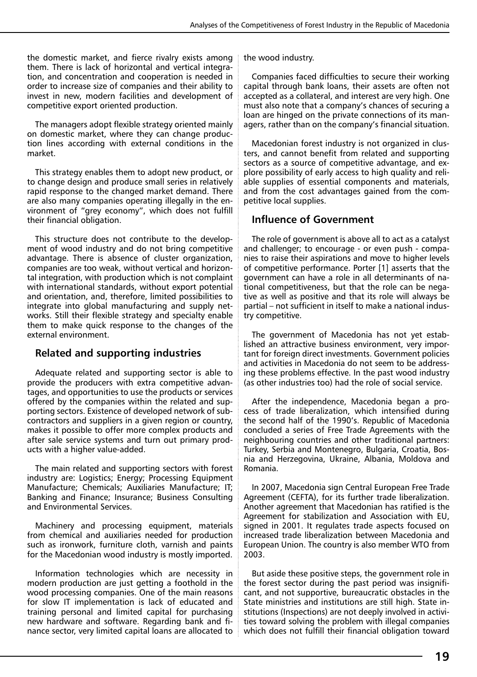the domestic market, and fierce rivalry exists among them. There is lack of horizontal and vertical integration, and concentration and cooperation is needed in order to increase size of companies and their ability to invest in new, modern facilities and development of competitive export oriented production.

The managers adopt flexible strategy oriented mainly on domestic market, where they can change production lines according with external conditions in the market.

This strategy enables them to adopt new product, or to change design and produce small series in relatively rapid response to the changed market demand. There are also many companies operating illegally in the environment of "grey economy", which does not fulfill their financial obligation.

This structure does not contribute to the development of wood industry and do not bring competitive advantage. There is absence of cluster organization, companies are too weak, without vertical and horizontal integration, with production which is not complaint with international standards, without export potential and orientation, and, therefore, limited possibilities to integrate into global manufacturing and supply networks. Still their flexible strategy and specialty enable them to make quick response to the changes of the external environment.

#### **Related and supporting industries**

Adequate related and supporting sector is able to provide the producers with extra competitive advantages, and opportunities to use the products or services offered by the companies within the related and supporting sectors. Existence of developed network of subcontractors and suppliers in a given region or country, makes it possible to offer more complex products and after sale service systems and turn out primary products with a higher value-added.

The main related and supporting sectors with forest industry are: Logistics; Energy; Processing Equipment Manufacture; Chemicals; Auxiliaries Manufacture; IT; Banking and Finance; Insurance; Business Consulting and Environmental Services.

Machinery and processing equipment, materials from chemical and auxiliaries needed for production such as ironwork, furniture cloth, varnish and paints for the Macedonian wood industry is mostly imported.

Information technologies which are necessity in modern production are just getting a foothold in the wood processing companies. One of the main reasons for slow IT implementation is lack of educated and training personal and limited capital for purchasing new hardware and software. Regarding bank and finance sector, very limited capital loans are allocated to the wood industry.

Companies faced difficulties to secure their working capital through bank loans, their assets are often not accepted as a collateral, and interest are very high. One must also note that a company's chances of securing a loan are hinged on the private connections of its managers, rather than on the company's financial situation.

Macedonian forest industry is not organized in clusters, and cannot benefit from related and supporting sectors as a source of competitive advantage, and explore possibility of early access to high quality and reliable supplies of essential components and materials, and from the cost advantages gained from the competitive local supplies.

### **Influence of Government**

The role of government is above all to act as a catalyst and challenger; to encourage - or even push - companies to raise their aspirations and move to higher levels of competitive performance. Porter [1] asserts that the government can have a role in all determinants of national competitiveness, but that the role can be negative as well as positive and that its role will always be partial – not sufficient in itself to make a national industry competitive.

The government of Macedonia has not yet established an attractive business environment, very important for foreign direct investments. Government policies and activities in Macedonia do not seem to be addressing these problems effective. In the past wood industry (as other industries too) had the role of social service.

After the independence, Macedonia began a process of trade liberalization, which intensified during the second half of the 1990's. Republic of Macedonia concluded a series of Free Trade Agreements with the neighbouring countries and other traditional partners: Turkey, Serbia and Montenegro, Bulgaria, Croatia, Bosnia and Herzegovina, Ukraine, Albania, Moldova and Romania.

In 2007, Macedonia sign Central European Free Trade Agreement (CEFTA), for its further trade liberalization. Another agreement that Macedonian has ratified is the Agreement for stabilization and Association with EU, signed in 2001. It regulates trade aspects focused on increased trade liberalization between Macedonia and European Union. The country is also member WTO from 2003.

But aside these positive steps, the government role in the forest sector during the past period was insignificant, and not supportive, bureaucratic obstacles in the State ministries and institutions are still high. State institutions (Inspections) are not deeply involved in activities toward solving the problem with illegal companies which does not fulfill their financial obligation toward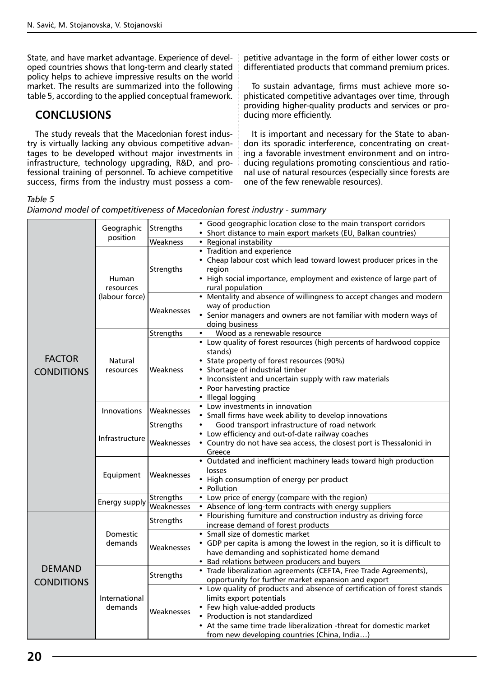State, and have market advantage. Experience of developed countries shows that long-term and clearly stated policy helps to achieve impressive results on the world market. The results are summarized into the following table 5, according to the applied conceptual framework.

## **CONCLUSIONS**

The study reveals that the Macedonian forest industry is virtually lacking any obvious competitive advantages to be developed without major investments in infrastructure, technology upgrading, R&D, and professional training of personnel. To achieve competitive success, firms from the industry must possess a com-

#### *Table 5*

*Diamond model of competitiveness of Macedonian forest industry - summary*

**FACTOR CONDITIONS** Geographic position Strengths • Good geographic location close to the main transport corridors • Short distance to main export markets (EU, Balkan countries) Weakness **•** Regional instability Human resources (labour force) **Strengths** • Tradition and experience • Cheap labour cost which lead toward lowest producer prices in the region • High social importance, employment and existence of large part of rural population Weaknesses • Mentality and absence of willingness to accept changes and modern way of production Senior managers and owners are not familiar with modern ways of doing business Natural resources Strengths • Wood as a renewable resource Weakness Low quality of forest resources (high percents of hardwood coppice stands) • State property of forest resources (90%) Shortage of industrial timber • Inconsistent and uncertain supply with raw materials Poor harvesting practice • Illegal logging Innovations Weaknesses • Low investments in innovation Small firms have week ability to develop innovations Infrastructure Strengths • Good transport infrastructure of road network Weaknesses Low efficiency and out-of-date railway coaches • Country do not have sea access, the closest port is Thessalonici in Greece Equipment Weaknesses • Outdated and inefficient machinery leads toward high production losses • High consumption of energy per product • Pollution Energy supply Strengths • Low price of energy (compare with the region)<br>Energy supply Weaknesses • Absence of long-term contracts with energy supply Absence of long-term contracts with energy suppliers **DEMAND CONDITIONS** Domestic demands Strengths • Flourishing furniture and construction industry as driving force increase demand of forest products Weaknesses Small size of domestic market • GDP per capita is among the lowest in the region, so it is difficult to have demanding and sophisticated home demand • Bad relations between producers and buyers International demands Strengths • Trade liberalization agreements (CEFTA, Free Trade Agreements), opportunity for further market expansion and export Weaknesses • Low quality of products and absence of certification of forest stands limits export potentials Few high value-added products • Production is not standardized • At the same time trade liberalization -threat for domestic market from new developing countries (China, India…)

petitive advantage in the form of either lower costs or differentiated products that command premium prices.

To sustain advantage, firms must achieve more sophisticated competitive advantages over time, through providing higher-quality products and services or pro-

It is important and necessary for the State to abandon its sporadic interference, concentrating on creating a favorable investment environment and on introducing regulations promoting conscientious and rational use of natural resources (especially since forests are

ducing more efficiently.

one of the few renewable resources).